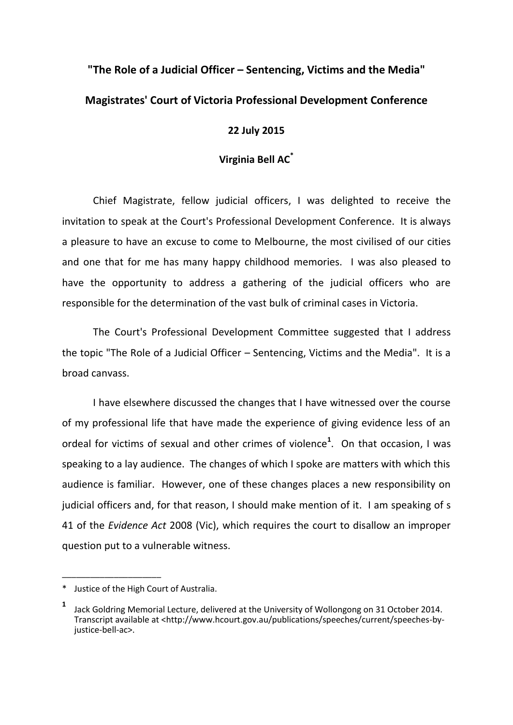## **"The Role of a Judicial Officer – Sentencing, Victims and the Media" Magistrates' Court of Victoria Professional Development Conference**

## **22 July 2015**

## **Virginia Bell AC\***

Chief Magistrate, fellow judicial officers, I was delighted to receive the invitation to speak at the Court's Professional Development Conference. It is always a pleasure to have an excuse to come to Melbourne, the most civilised of our cities and one that for me has many happy childhood memories. I was also pleased to have the opportunity to address a gathering of the judicial officers who are responsible for the determination of the vast bulk of criminal cases in Victoria.

The Court's Professional Development Committee suggested that I address the topic "The Role of a Judicial Officer – Sentencing, Victims and the Media". It is a broad canvass.

I have elsewhere discussed the changes that I have witnessed over the course of my professional life that have made the experience of giving evidence less of an ordeal for victims of sexual and other crimes of violence**<sup>1</sup>** . On that occasion, I was speaking to a lay audience. The changes of which I spoke are matters with which this audience is familiar. However, one of these changes places a new responsibility on judicial officers and, for that reason, I should make mention of it. I am speaking of s 41 of the *Evidence Act* 2008 (Vic), which requires the court to disallow an improper question put to a vulnerable witness.

<sup>\*</sup> Justice of the High Court of Australia.

**<sup>1</sup>** Jack Goldring Memorial Lecture, delivered at the University of Wollongong on 31 October 2014. Transcript available at <http://www.hcourt.gov.au/publications/speeches/current/speeches-byjustice-bell-ac>.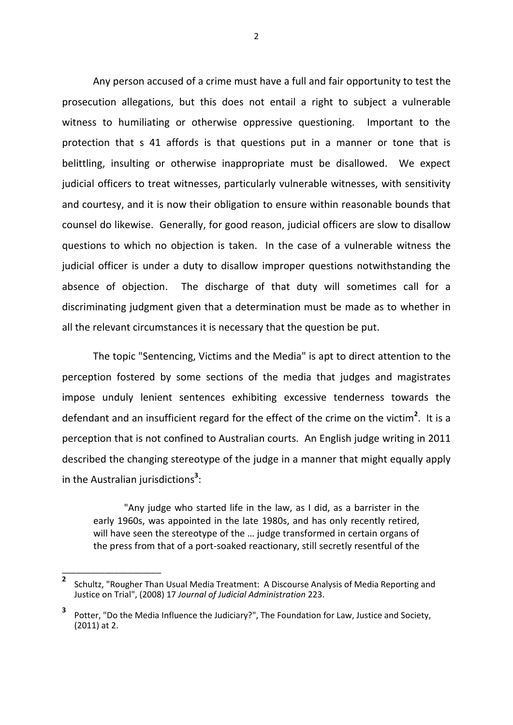Any person accused of a crime must have a full and fair opportunity to test the prosecution allegations, but this does not entail a right to subject a vulnerable witness to humiliating or otherwise oppressive questioning. Important to the protection that s 41 affords is that questions put in a manner or tone that is belittling, insulting or otherwise inappropriate must be disallowed. We expect judicial officers to treat witnesses, particularly vulnerable witnesses, with sensitivity and courtesy, and it is now their obligation to ensure within reasonable bounds that counsel do likewise. Generally, for good reason, judicial officers are slow to disallow questions to which no objection is taken. In the case of a vulnerable witness the judicial officer is under a duty to disallow improper questions notwithstanding the absence of objection. The discharge of that duty will sometimes call for a discriminating judgment given that a determination must be made as to whether in all the relevant circumstances it is necessary that the question be put.

The topic "Sentencing, Victims and the Media" is apt to direct attention to the perception fostered by some sections of the media that judges and magistrates impose unduly lenient sentences exhibiting excessive tenderness towards the defendant and an insufficient regard for the effect of the crime on the victim**<sup>2</sup>** . It is a perception that is not confined to Australian courts. An English judge writing in 2011 described the changing stereotype of the judge in a manner that might equally apply in the Australian jurisdictions**<sup>3</sup>** :

"Any judge who started life in the law, as I did, as a barrister in the early 1960s, was appointed in the late 1980s, and has only recently retired, will have seen the stereotype of the … judge transformed in certain organs of the press from that of a port-soaked reactionary, still secretly resentful of the

\_\_\_\_\_\_\_\_\_\_\_\_\_\_\_\_\_\_\_\_\_

2

**<sup>2</sup>** Schultz, "Rougher Than Usual Media Treatment: A Discourse Analysis of Media Reporting and Justice on Trial", (2008) 17 *Journal of Judicial Administration* 223.

**<sup>3</sup>** Potter, "Do the Media Influence the Judiciary?", The Foundation for Law, Justice and Society, (2011) at 2.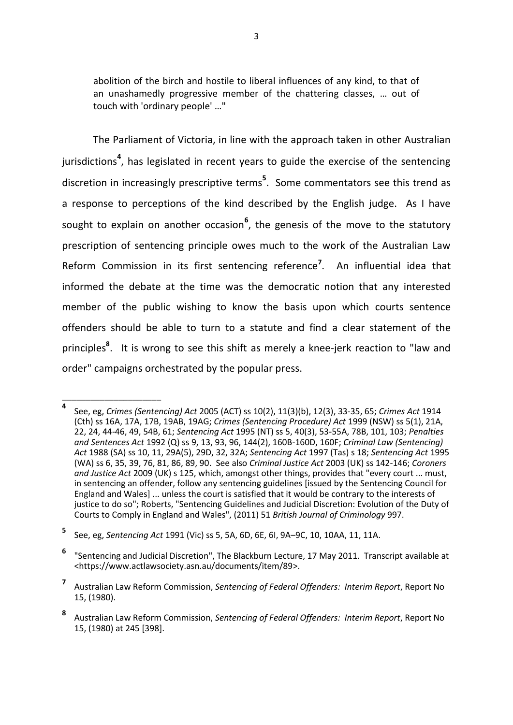abolition of the birch and hostile to liberal influences of any kind, to that of an unashamedly progressive member of the chattering classes, … out of touch with 'ordinary people' …"

The Parliament of Victoria, in line with the approach taken in other Australian jurisdictions<sup>4</sup>, has legislated in recent years to guide the exercise of the sentencing discretion in increasingly prescriptive terms**<sup>5</sup>** . Some commentators see this trend as a response to perceptions of the kind described by the English judge. As I have sought to explain on another occasion**<sup>6</sup>** , the genesis of the move to the statutory prescription of sentencing principle owes much to the work of the Australian Law Reform Commission in its first sentencing reference**<sup>7</sup>** . An influential idea that informed the debate at the time was the democratic notion that any interested member of the public wishing to know the basis upon which courts sentence offenders should be able to turn to a statute and find a clear statement of the principles**<sup>8</sup>** . It is wrong to see this shift as merely a knee-jerk reaction to "law and order" campaigns orchestrated by the popular press.

**<sup>4</sup>** See, eg, *Crimes (Sentencing) Act* 2005 (ACT) ss 10(2), 11(3)(b), 12(3), 33-35, 65; *Crimes Act* 1914 (Cth) ss 16A, 17A, 17B, 19AB, 19AG; *Crimes (Sentencing Procedure) Act* 1999 (NSW) ss 5(1), 21A, 22, 24, 44-46, 49, 54B, 61; *Sentencing Act* 1995 (NT) ss 5, 40(3), 53-55A, 78B, 101, 103; *Penalties and Sentences Act* 1992 (Q) ss 9, 13, 93, 96, 144(2), 160B-160D, 160F; *Criminal Law (Sentencing) Act* 1988 (SA) ss 10, 11, 29A(5), 29D, 32, 32A; *Sentencing Act* 1997 (Tas) s 18; *Sentencing Act* 1995 (WA) ss 6, 35, 39, 76, 81, 86, 89, 90. See also *Criminal Justice Act* 2003 (UK) ss 142-146; *Coroners and Justice Act* 2009 (UK) s 125, which, amongst other things, provides that "every court ... must, in sentencing an offender, follow any sentencing guidelines [issued by the Sentencing Council for England and Wales] ... unless the court is satisfied that it would be contrary to the interests of justice to do so"; Roberts, "Sentencing Guidelines and Judicial Discretion: Evolution of the Duty of Courts to Comply in England and Wales", (2011) 51 *British Journal of Criminology* 997.

**<sup>5</sup>** See, eg, *Sentencing Act* 1991 (Vic) ss 5, 5A, 6D, 6E, 6I, 9A–9C, 10, 10AA, 11, 11A.

**<sup>6</sup>** "Sentencing and Judicial Discretion", The Blackburn Lecture, 17 May 2011. Transcript available at <https://www.actlawsociety.asn.au/documents/item/89>.

**<sup>7</sup>** Australian Law Reform Commission, *Sentencing of Federal Offenders: Interim Report*, Report No 15, (1980).

**<sup>8</sup>** Australian Law Reform Commission, *Sentencing of Federal Offenders: Interim Report*, Report No 15, (1980) at 245 [398].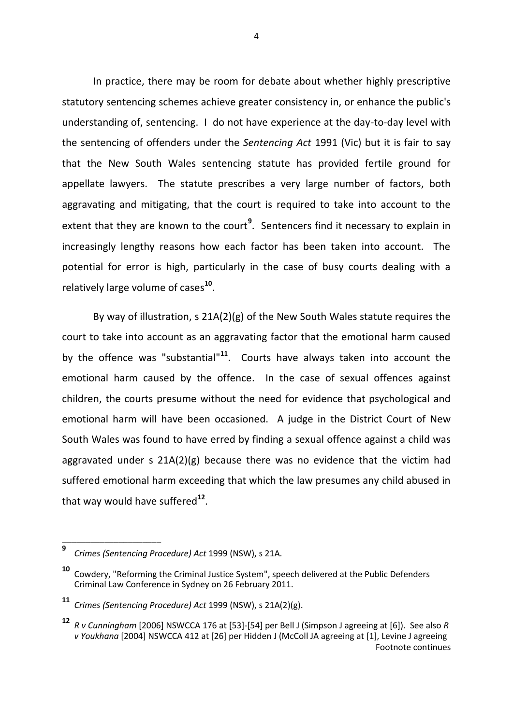In practice, there may be room for debate about whether highly prescriptive statutory sentencing schemes achieve greater consistency in, or enhance the public's understanding of, sentencing. I do not have experience at the day-to-day level with the sentencing of offenders under the *Sentencing Act* 1991 (Vic) but it is fair to say that the New South Wales sentencing statute has provided fertile ground for appellate lawyers. The statute prescribes a very large number of factors, both aggravating and mitigating, that the court is required to take into account to the extent that they are known to the court<sup>9</sup>. Sentencers find it necessary to explain in increasingly lengthy reasons how each factor has been taken into account. The potential for error is high, particularly in the case of busy courts dealing with a relatively large volume of cases**<sup>10</sup>** .

By way of illustration, s 21A(2)(g) of the New South Wales statute requires the court to take into account as an aggravating factor that the emotional harm caused by the offence was "substantial"<sup>11</sup>. Courts have always taken into account the emotional harm caused by the offence. In the case of sexual offences against children, the courts presume without the need for evidence that psychological and emotional harm will have been occasioned. A judge in the District Court of New South Wales was found to have erred by finding a sexual offence against a child was aggravated under s 21A(2)(g) because there was no evidence that the victim had suffered emotional harm exceeding that which the law presumes any child abused in that way would have suffered**<sup>12</sup>** .

\_\_\_\_\_\_\_\_\_\_\_\_\_\_\_\_\_\_\_\_\_

4

**<sup>9</sup>** *Crimes (Sentencing Procedure) Act* 1999 (NSW), s 21A.

**<sup>10</sup>** Cowdery, "Reforming the Criminal Justice System", speech delivered at the Public Defenders Criminal Law Conference in Sydney on 26 February 2011.

**<sup>11</sup>** *Crimes (Sentencing Procedure) Act* 1999 (NSW), s 21A(2)(g).

**<sup>12</sup>** *R v Cunningham* [2006] NSWCCA 176 at [53]-[54] per Bell J (Simpson J agreeing at [6]). See also *<sup>R</sup> v Youkhana* [2004] NSWCCA 412 at [26] per Hidden J (McColl JA agreeing at [1], Levine J agreeing Footnote continues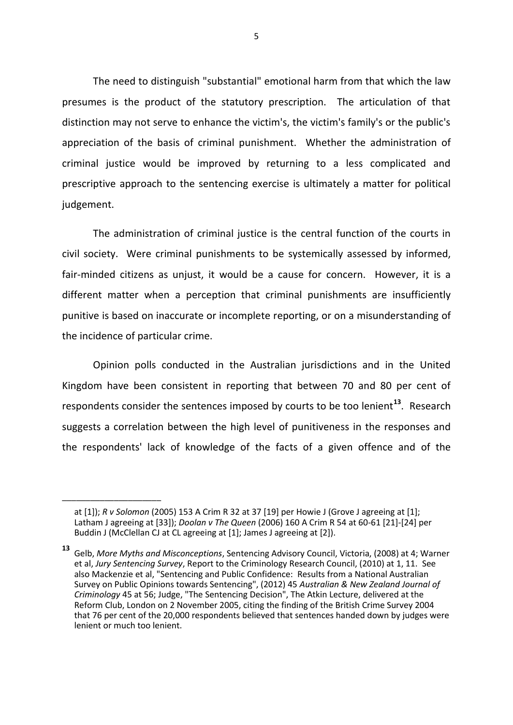The need to distinguish "substantial" emotional harm from that which the law presumes is the product of the statutory prescription. The articulation of that distinction may not serve to enhance the victim's, the victim's family's or the public's appreciation of the basis of criminal punishment. Whether the administration of criminal justice would be improved by returning to a less complicated and prescriptive approach to the sentencing exercise is ultimately a matter for political judgement.

The administration of criminal justice is the central function of the courts in civil society. Were criminal punishments to be systemically assessed by informed, fair-minded citizens as unjust, it would be a cause for concern. However, it is a different matter when a perception that criminal punishments are insufficiently punitive is based on inaccurate or incomplete reporting, or on a misunderstanding of the incidence of particular crime.

Opinion polls conducted in the Australian jurisdictions and in the United Kingdom have been consistent in reporting that between 70 and 80 per cent of respondents consider the sentences imposed by courts to be too lenient**<sup>13</sup>** . Research suggests a correlation between the high level of punitiveness in the responses and the respondents' lack of knowledge of the facts of a given offence and of the

at [1]); *R v Solomon* (2005) 153 A Crim R 32 at 37 [19] per Howie J (Grove J agreeing at [1]; Latham J agreeing at [33]); *Doolan v The Queen* (2006) 160 A Crim R 54 at 60-61 [21]-[24] per Buddin J (McClellan CJ at CL agreeing at [1]; James J agreeing at [2]).

**<sup>13</sup>** Gelb, *More Myths and Misconceptions*, Sentencing Advisory Council, Victoria, (2008) at 4; Warner et al, *Jury Sentencing Survey*, Report to the Criminology Research Council, (2010) at 1, 11. See also Mackenzie et al, "Sentencing and Public Confidence: Results from a National Australian Survey on Public Opinions towards Sentencing", (2012) 45 *Australian & New Zealand Journal of Criminology* 45 at 56; Judge, "The Sentencing Decision", The Atkin Lecture, delivered at the Reform Club, London on 2 November 2005, citing the finding of the British Crime Survey 2004 that 76 per cent of the 20,000 respondents believed that sentences handed down by judges were lenient or much too lenient.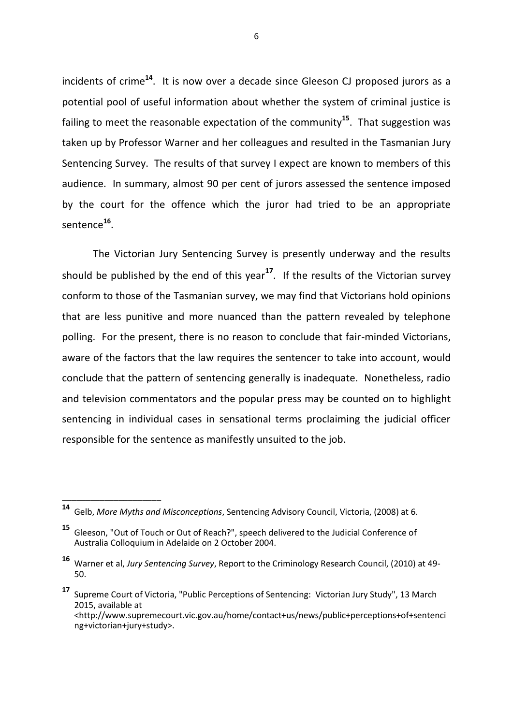incidents of crime**<sup>14</sup>**. It is now over a decade since Gleeson CJ proposed jurors as a potential pool of useful information about whether the system of criminal justice is failing to meet the reasonable expectation of the community**<sup>15</sup>**. That suggestion was taken up by Professor Warner and her colleagues and resulted in the Tasmanian Jury Sentencing Survey. The results of that survey I expect are known to members of this audience. In summary, almost 90 per cent of jurors assessed the sentence imposed by the court for the offence which the juror had tried to be an appropriate sentence**<sup>16</sup>** .

The Victorian Jury Sentencing Survey is presently underway and the results should be published by the end of this year**<sup>17</sup>** . If the results of the Victorian survey conform to those of the Tasmanian survey, we may find that Victorians hold opinions that are less punitive and more nuanced than the pattern revealed by telephone polling. For the present, there is no reason to conclude that fair-minded Victorians, aware of the factors that the law requires the sentencer to take into account, would conclude that the pattern of sentencing generally is inadequate. Nonetheless, radio and television commentators and the popular press may be counted on to highlight sentencing in individual cases in sensational terms proclaiming the judicial officer responsible for the sentence as manifestly unsuited to the job.

**<sup>14</sup>** Gelb, *More Myths and Misconceptions*, Sentencing Advisory Council, Victoria, (2008) at 6.

**<sup>15</sup>** Gleeson, "Out of Touch or Out of Reach?", speech delivered to the Judicial Conference of Australia Colloquium in Adelaide on 2 October 2004.

**<sup>16</sup>** Warner et al, *Jury Sentencing Survey*, Report to the Criminology Research Council, (2010) at 49- 50.

**<sup>17</sup>** Supreme Court of Victoria, "Public Perceptions of Sentencing: Victorian Jury Study", 13 March 2015, available at <http://www.supremecourt.vic.gov.au/home/contact+us/news/public+perceptions+of+sentenci ng+victorian+jury+study>.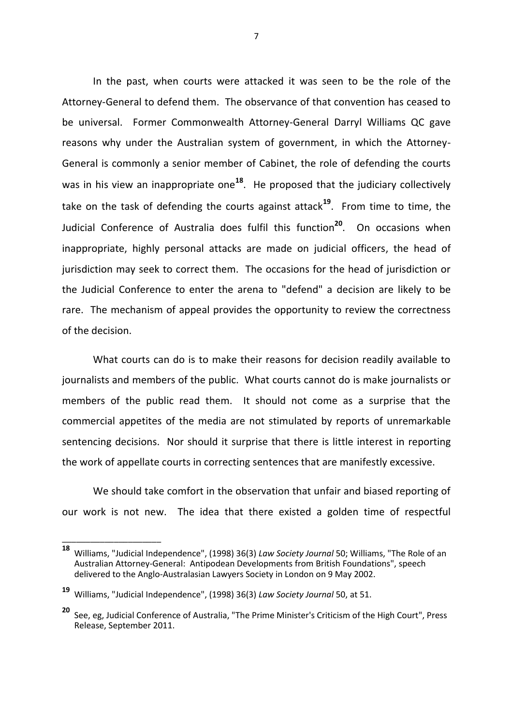In the past, when courts were attacked it was seen to be the role of the Attorney-General to defend them. The observance of that convention has ceased to be universal. Former Commonwealth Attorney-General Darryl Williams QC gave reasons why under the Australian system of government, in which the Attorney-General is commonly a senior member of Cabinet, the role of defending the courts was in his view an inappropriate one<sup>18</sup>. He proposed that the judiciary collectively take on the task of defending the courts against attack**<sup>19</sup>**. From time to time, the Judicial Conference of Australia does fulfil this function**<sup>20</sup>**. On occasions when inappropriate, highly personal attacks are made on judicial officers, the head of jurisdiction may seek to correct them. The occasions for the head of jurisdiction or the Judicial Conference to enter the arena to "defend" a decision are likely to be rare. The mechanism of appeal provides the opportunity to review the correctness of the decision.

What courts can do is to make their reasons for decision readily available to journalists and members of the public. What courts cannot do is make journalists or members of the public read them. It should not come as a surprise that the commercial appetites of the media are not stimulated by reports of unremarkable sentencing decisions. Nor should it surprise that there is little interest in reporting the work of appellate courts in correcting sentences that are manifestly excessive.

We should take comfort in the observation that unfair and biased reporting of our work is not new. The idea that there existed a golden time of respectful

**<sup>18</sup>** Williams, "Judicial Independence", (1998) 36(3) *Law Society Journal* 50; Williams, "The Role of an Australian Attorney-General: Antipodean Developments from British Foundations", speech delivered to the Anglo-Australasian Lawyers Society in London on 9 May 2002.

**<sup>19</sup>** Williams, "Judicial Independence", (1998) 36(3) *Law Society Journal* 50, at 51.

**<sup>20</sup>** See, eg, Judicial Conference of Australia, "The Prime Minister's Criticism of the High Court", Press Release, September 2011.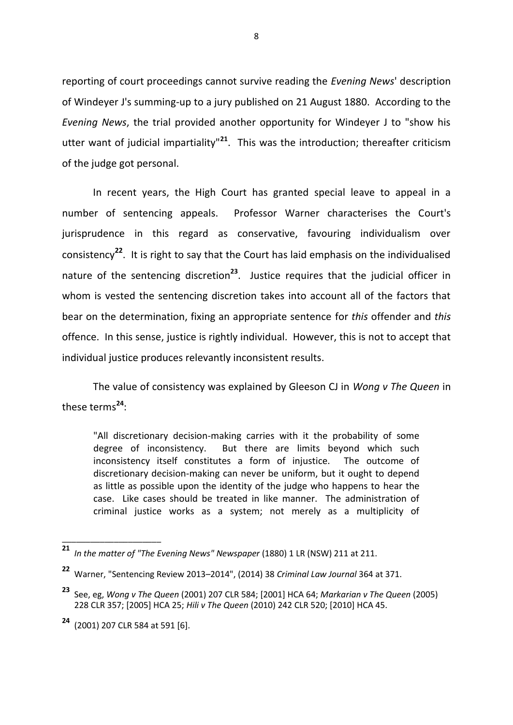reporting of court proceedings cannot survive reading the *Evening News*' description of Windeyer J's summing-up to a jury published on 21 August 1880. According to the *Evening News*, the trial provided another opportunity for Windeyer J to "show his utter want of judicial impartiality"**<sup>21</sup>**. This was the introduction; thereafter criticism of the judge got personal.

In recent years, the High Court has granted special leave to appeal in a number of sentencing appeals. Professor Warner characterises the Court's jurisprudence in this regard as conservative, favouring individualism over consistency**<sup>22</sup>**. It is right to say that the Court has laid emphasis on the individualised nature of the sentencing discretion**<sup>23</sup>**. Justice requires that the judicial officer in whom is vested the sentencing discretion takes into account all of the factors that bear on the determination, fixing an appropriate sentence for *this* offender and *this* offence. In this sense, justice is rightly individual. However, this is not to accept that individual justice produces relevantly inconsistent results.

The value of consistency was explained by Gleeson CJ in *Wong v The Queen* in these terms**<sup>24</sup>** :

"All discretionary decision-making carries with it the probability of some degree of inconsistency. But there are limits beyond which such inconsistency itself constitutes a form of injustice. The outcome of discretionary decision-making can never be uniform, but it ought to depend as little as possible upon the identity of the judge who happens to hear the case. Like cases should be treated in like manner. The administration of criminal justice works as a system; not merely as a multiplicity of

**<sup>21</sup>** *In the matter of "The Evening News" Newspaper* (1880) 1 LR (NSW) 211 at 211.

**<sup>22</sup>** Warner, "Sentencing Review 2013–2014", (2014) 38 *Criminal Law Journal* 364 at 371.

**<sup>23</sup>** See, eg, *Wong v The Queen* (2001) 207 CLR 584; [2001] HCA 64; *Markarian v The Queen* (2005) 228 CLR 357; [2005] HCA 25; *Hili v The Queen* (2010) 242 CLR 520; [2010] HCA 45.

**<sup>24</sup>** (2001) 207 CLR 584 at 591 [6].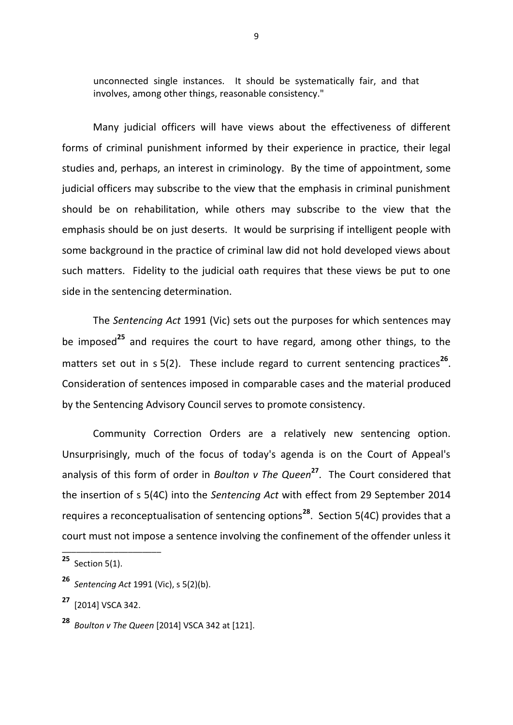unconnected single instances. It should be systematically fair, and that involves, among other things, reasonable consistency."

Many judicial officers will have views about the effectiveness of different forms of criminal punishment informed by their experience in practice, their legal studies and, perhaps, an interest in criminology. By the time of appointment, some judicial officers may subscribe to the view that the emphasis in criminal punishment should be on rehabilitation, while others may subscribe to the view that the emphasis should be on just deserts. It would be surprising if intelligent people with some background in the practice of criminal law did not hold developed views about such matters. Fidelity to the judicial oath requires that these views be put to one side in the sentencing determination.

The *Sentencing Act* 1991 (Vic) sets out the purposes for which sentences may be imposed**<sup>25</sup>** and requires the court to have regard, among other things, to the matters set out in s 5(2). These include regard to current sentencing practices<sup>26</sup>. Consideration of sentences imposed in comparable cases and the material produced by the Sentencing Advisory Council serves to promote consistency.

Community Correction Orders are a relatively new sentencing option. Unsurprisingly, much of the focus of today's agenda is on the Court of Appeal's analysis of this form of order in *Boulton v The Queen***<sup>27</sup>** . The Court considered that the insertion of s 5(4C) into the *Sentencing Act* with effect from 29 September 2014 requires a reconceptualisation of sentencing options**<sup>28</sup>**. Section 5(4C) provides that a court must not impose a sentence involving the confinement of the offender unless it

**<sup>25</sup>** Section 5(1).

**<sup>26</sup>** *Sentencing Act* 1991 (Vic), s 5(2)(b).

**<sup>27</sup>** [2014] VSCA 342.

**<sup>28</sup>** *Boulton v The Queen* [2014] VSCA 342 at [121].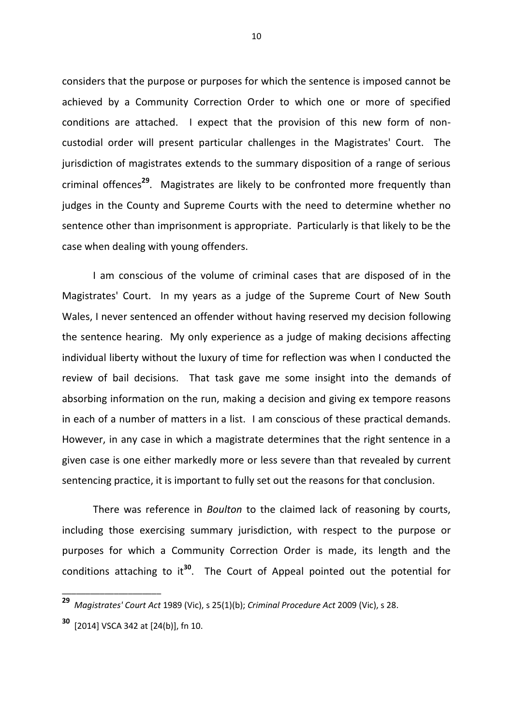considers that the purpose or purposes for which the sentence is imposed cannot be achieved by a Community Correction Order to which one or more of specified conditions are attached. I expect that the provision of this new form of noncustodial order will present particular challenges in the Magistrates' Court. The jurisdiction of magistrates extends to the summary disposition of a range of serious criminal offences**<sup>29</sup>**. Magistrates are likely to be confronted more frequently than judges in the County and Supreme Courts with the need to determine whether no sentence other than imprisonment is appropriate. Particularly is that likely to be the case when dealing with young offenders.

I am conscious of the volume of criminal cases that are disposed of in the Magistrates' Court. In my years as a judge of the Supreme Court of New South Wales, I never sentenced an offender without having reserved my decision following the sentence hearing. My only experience as a judge of making decisions affecting individual liberty without the luxury of time for reflection was when I conducted the review of bail decisions. That task gave me some insight into the demands of absorbing information on the run, making a decision and giving ex tempore reasons in each of a number of matters in a list. I am conscious of these practical demands. However, in any case in which a magistrate determines that the right sentence in a given case is one either markedly more or less severe than that revealed by current sentencing practice, it is important to fully set out the reasons for that conclusion.

There was reference in *Boulton* to the claimed lack of reasoning by courts, including those exercising summary jurisdiction, with respect to the purpose or purposes for which a Community Correction Order is made, its length and the conditions attaching to it**<sup>30</sup>** . The Court of Appeal pointed out the potential for

\_\_\_\_\_\_\_\_\_\_\_\_\_\_\_\_\_\_\_\_\_

10

**<sup>29</sup>** *Magistrates' Court Act* 1989 (Vic), s 25(1)(b); *Criminal Procedure Act* 2009 (Vic), s 28.

**<sup>30</sup>** [2014] VSCA 342 at [24(b)], fn 10.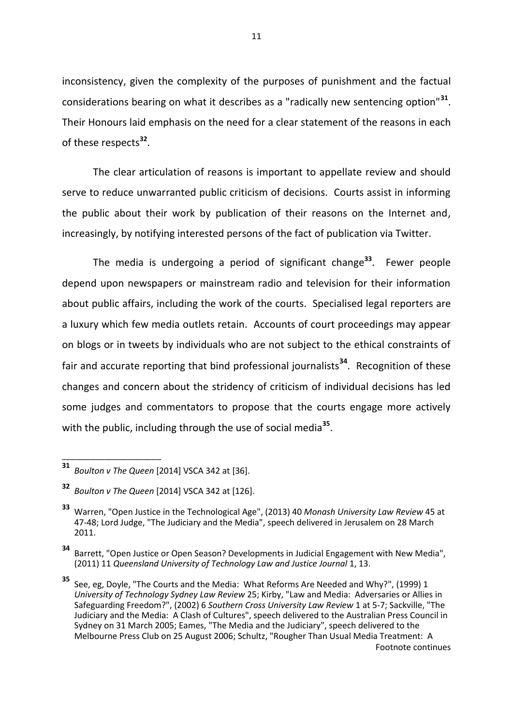inconsistency, given the complexity of the purposes of punishment and the factual considerations bearing on what it describes as a "radically new sentencing option"**<sup>31</sup>** . Their Honours laid emphasis on the need for a clear statement of the reasons in each of these respects**<sup>32</sup>** .

The clear articulation of reasons is important to appellate review and should serve to reduce unwarranted public criticism of decisions. Courts assist in informing the public about their work by publication of their reasons on the Internet and, increasingly, by notifying interested persons of the fact of publication via Twitter.

The media is undergoing a period of significant change**<sup>33</sup>**. Fewer people depend upon newspapers or mainstream radio and television for their information about public affairs, including the work of the courts. Specialised legal reporters are a luxury which few media outlets retain. Accounts of court proceedings may appear on blogs or in tweets by individuals who are not subject to the ethical constraints of fair and accurate reporting that bind professional journalists**<sup>34</sup>**. Recognition of these changes and concern about the stridency of criticism of individual decisions has led some judges and commentators to propose that the courts engage more actively with the public, including through the use of social media**<sup>35</sup>** .

**<sup>31</sup>** *Boulton v The Queen* [2014] VSCA 342 at [36].

**<sup>32</sup>** *Boulton v The Queen* [2014] VSCA 342 at [126].

**<sup>33</sup>** Warren, "Open Justice in the Technological Age", (2013) 40 *Monash University Law Review* 45 at 47-48; Lord Judge, "The Judiciary and the Media", speech delivered in Jerusalem on 28 March 2011.

**<sup>34</sup>** Barrett, "Open Justice or Open Season? Developments in Judicial Engagement with New Media", (2011) 11 *Queensland University of Technology Law and Justice Journal* 1, 13.

**<sup>35</sup>** See, eg, Doyle, "The Courts and the Media: What Reforms Are Needed and Why?", (1999) 1 *University of Technology Sydney Law Review* 25; Kirby, "Law and Media: Adversaries or Allies in Safeguarding Freedom?", (2002) 6 *Southern Cross University Law Review* 1 at 5-7; Sackville, "The Judiciary and the Media: A Clash of Cultures", speech delivered to the Australian Press Council in Sydney on 31 March 2005; Eames, "The Media and the Judiciary", speech delivered to the Melbourne Press Club on 25 August 2006; Schultz, "Rougher Than Usual Media Treatment: A Footnote continues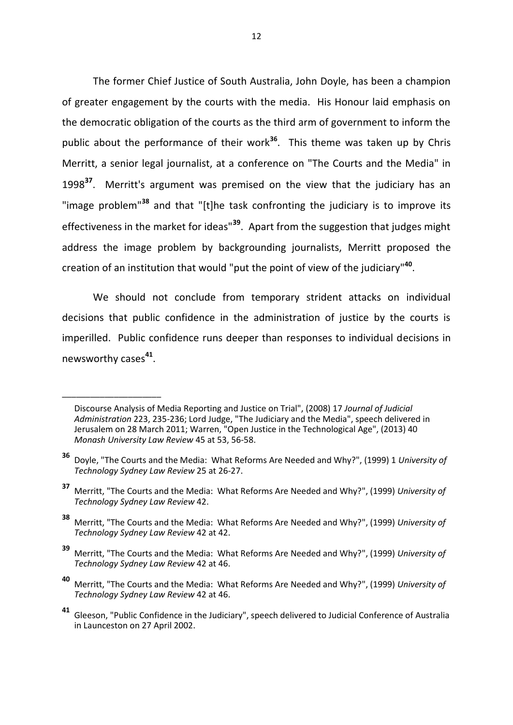The former Chief Justice of South Australia, John Doyle, has been a champion of greater engagement by the courts with the media. His Honour laid emphasis on the democratic obligation of the courts as the third arm of government to inform the public about the performance of their work**<sup>36</sup>** . This theme was taken up by Chris Merritt, a senior legal journalist, at a conference on "The Courts and the Media" in 1998**<sup>37</sup>** . Merritt's argument was premised on the view that the judiciary has an "image problem"**<sup>38</sup>** and that "[t]he task confronting the judiciary is to improve its effectiveness in the market for ideas"**<sup>39</sup>**. Apart from the suggestion that judges might address the image problem by backgrounding journalists, Merritt proposed the creation of an institution that would "put the point of view of the judiciary"**<sup>40</sup>** .

We should not conclude from temporary strident attacks on individual decisions that public confidence in the administration of justice by the courts is imperilled. Public confidence runs deeper than responses to individual decisions in newsworthy cases**<sup>41</sup>** .

Discourse Analysis of Media Reporting and Justice on Trial", (2008) 17 *Journal of Judicial Administration* 223, 235-236; Lord Judge, "The Judiciary and the Media", speech delivered in Jerusalem on 28 March 2011; Warren, "Open Justice in the Technological Age", (2013) 40 *Monash University Law Review* 45 at 53, 56-58.

**<sup>36</sup>** Doyle, "The Courts and the Media: What Reforms Are Needed and Why?", (1999) 1 *University of Technology Sydney Law Review* 25 at 26-27.

**<sup>37</sup>** Merritt, "The Courts and the Media: What Reforms Are Needed and Why?", (1999) *University of Technology Sydney Law Review* 42.

**<sup>38</sup>** Merritt, "The Courts and the Media: What Reforms Are Needed and Why?", (1999) *University of Technology Sydney Law Review* 42 at 42.

**<sup>39</sup>** Merritt, "The Courts and the Media: What Reforms Are Needed and Why?", (1999) *University of Technology Sydney Law Review* 42 at 46.

**<sup>40</sup>** Merritt, "The Courts and the Media: What Reforms Are Needed and Why?", (1999) *University of Technology Sydney Law Review* 42 at 46.

**<sup>41</sup>** Gleeson, "Public Confidence in the Judiciary", speech delivered to Judicial Conference of Australia in Launceston on 27 April 2002.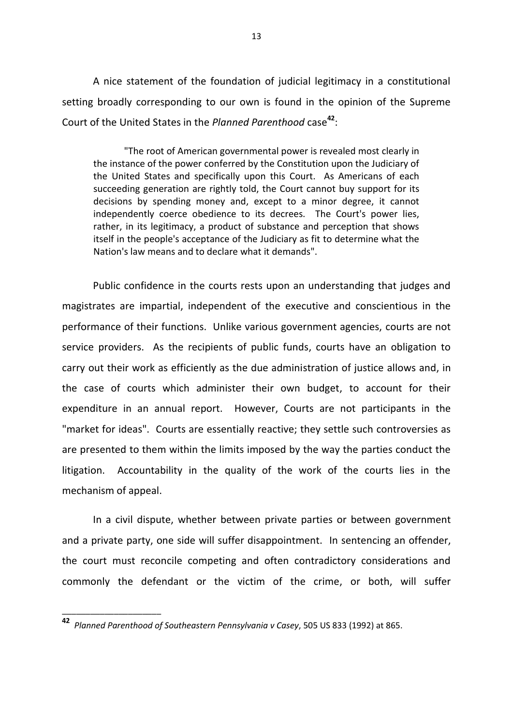A nice statement of the foundation of judicial legitimacy in a constitutional setting broadly corresponding to our own is found in the opinion of the Supreme Court of the United States in the *Planned Parenthood* case**<sup>42</sup>** :

"The root of American governmental power is revealed most clearly in the instance of the power conferred by the Constitution upon the Judiciary of the United States and specifically upon this Court. As Americans of each succeeding generation are rightly told, the Court cannot buy support for its decisions by spending money and, except to a minor degree, it cannot independently coerce obedience to its decrees. The Court's power lies, rather, in its legitimacy, a product of substance and perception that shows itself in the people's acceptance of the Judiciary as fit to determine what the Nation's law means and to declare what it demands".

Public confidence in the courts rests upon an understanding that judges and magistrates are impartial, independent of the executive and conscientious in the performance of their functions. Unlike various government agencies, courts are not service providers. As the recipients of public funds, courts have an obligation to carry out their work as efficiently as the due administration of justice allows and, in the case of courts which administer their own budget, to account for their expenditure in an annual report. However, Courts are not participants in the "market for ideas". Courts are essentially reactive; they settle such controversies as are presented to them within the limits imposed by the way the parties conduct the litigation. Accountability in the quality of the work of the courts lies in the mechanism of appeal.

In a civil dispute, whether between private parties or between government and a private party, one side will suffer disappointment. In sentencing an offender, the court must reconcile competing and often contradictory considerations and commonly the defendant or the victim of the crime, or both, will suffer

**<sup>42</sup>** *Planned Parenthood of Southeastern Pennsylvania v Casey*, 505 US 833 (1992) at 865.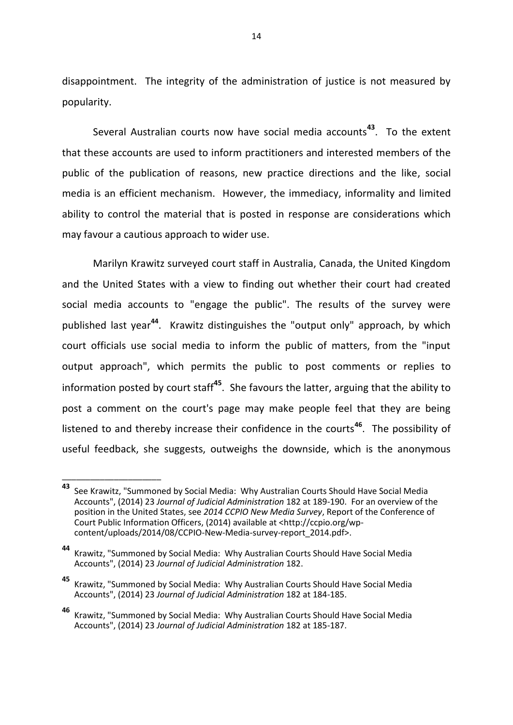disappointment. The integrity of the administration of justice is not measured by popularity.

Several Australian courts now have social media accounts**<sup>43</sup>**. To the extent that these accounts are used to inform practitioners and interested members of the public of the publication of reasons, new practice directions and the like, social media is an efficient mechanism. However, the immediacy, informality and limited ability to control the material that is posted in response are considerations which may favour a cautious approach to wider use.

Marilyn Krawitz surveyed court staff in Australia, Canada, the United Kingdom and the United States with a view to finding out whether their court had created social media accounts to "engage the public". The results of the survey were published last year**<sup>44</sup>**. Krawitz distinguishes the "output only" approach, by which court officials use social media to inform the public of matters, from the "input output approach", which permits the public to post comments or replies to information posted by court staff**<sup>45</sup>**. She favours the latter, arguing that the ability to post a comment on the court's page may make people feel that they are being listened to and thereby increase their confidence in the courts**<sup>46</sup>**. The possibility of useful feedback, she suggests, outweighs the downside, which is the anonymous

**<sup>43</sup>** See Krawitz, "Summoned by Social Media: Why Australian Courts Should Have Social Media Accounts", (2014) 23 *Journal of Judicial Administration* 182 at 189-190. For an overview of the position in the United States, see *2014 CCPIO New Media Survey*, Report of the Conference of Court Public Information Officers, (2014) available at <http://ccpio.org/wpcontent/uploads/2014/08/CCPIO-New-Media-survey-report\_2014.pdf>.

**<sup>44</sup>** Krawitz, "Summoned by Social Media: Why Australian Courts Should Have Social Media Accounts", (2014) 23 *Journal of Judicial Administration* 182.

**<sup>45</sup>** Krawitz, "Summoned by Social Media: Why Australian Courts Should Have Social Media Accounts", (2014) 23 *Journal of Judicial Administration* 182 at 184-185.

**<sup>46</sup>** Krawitz, "Summoned by Social Media: Why Australian Courts Should Have Social Media Accounts", (2014) 23 *Journal of Judicial Administration* 182 at 185-187.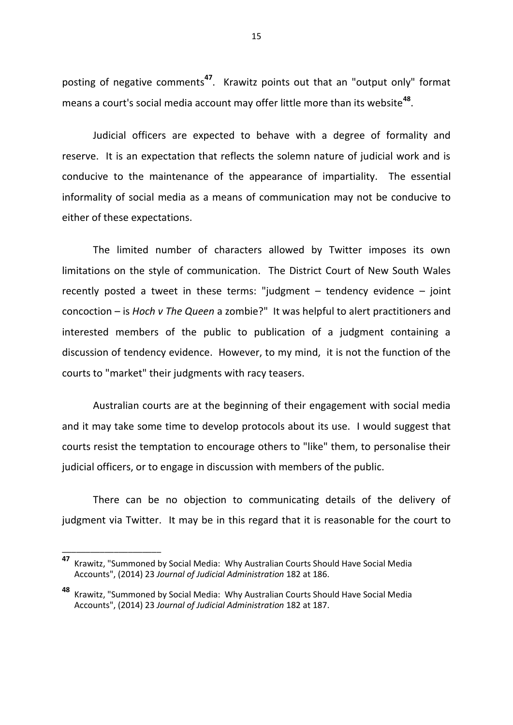posting of negative comments**<sup>47</sup>**. Krawitz points out that an "output only" format means a court's social media account may offer little more than its website**<sup>48</sup>** .

Judicial officers are expected to behave with a degree of formality and reserve. It is an expectation that reflects the solemn nature of judicial work and is conducive to the maintenance of the appearance of impartiality. The essential informality of social media as a means of communication may not be conducive to either of these expectations.

The limited number of characters allowed by Twitter imposes its own limitations on the style of communication. The District Court of New South Wales recently posted a tweet in these terms: "judgment – tendency evidence – joint concoction – is *Hoch v The Queen* a zombie?" It was helpful to alert practitioners and interested members of the public to publication of a judgment containing a discussion of tendency evidence. However, to my mind, it is not the function of the courts to "market" their judgments with racy teasers.

Australian courts are at the beginning of their engagement with social media and it may take some time to develop protocols about its use. I would suggest that courts resist the temptation to encourage others to "like" them, to personalise their judicial officers, or to engage in discussion with members of the public.

There can be no objection to communicating details of the delivery of judgment via Twitter. It may be in this regard that it is reasonable for the court to

**<sup>47</sup>** Krawitz, "Summoned by Social Media: Why Australian Courts Should Have Social Media Accounts", (2014) 23 *Journal of Judicial Administration* 182 at 186.

**<sup>48</sup>** Krawitz, "Summoned by Social Media: Why Australian Courts Should Have Social Media Accounts", (2014) 23 *Journal of Judicial Administration* 182 at 187.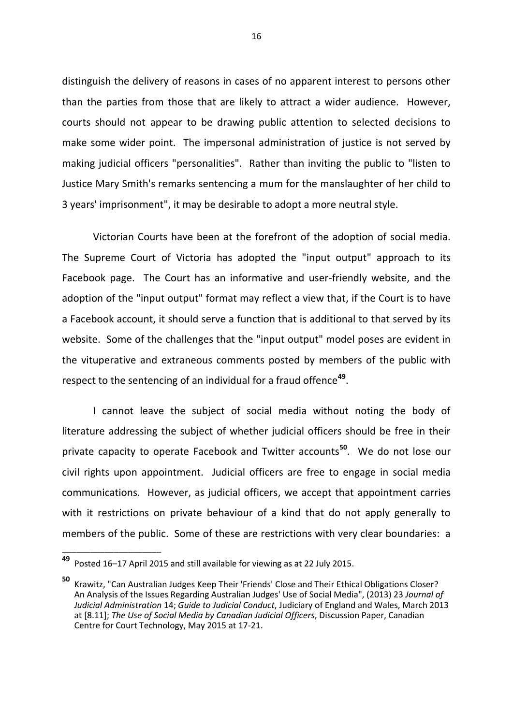distinguish the delivery of reasons in cases of no apparent interest to persons other than the parties from those that are likely to attract a wider audience. However, courts should not appear to be drawing public attention to selected decisions to make some wider point. The impersonal administration of justice is not served by making judicial officers "personalities". Rather than inviting the public to "listen to Justice Mary Smith's remarks sentencing a mum for the manslaughter of her child to 3 years' imprisonment", it may be desirable to adopt a more neutral style.

Victorian Courts have been at the forefront of the adoption of social media. The Supreme Court of Victoria has adopted the "input output" approach to its Facebook page. The Court has an informative and user-friendly website, and the adoption of the "input output" format may reflect a view that, if the Court is to have a Facebook account, it should serve a function that is additional to that served by its website. Some of the challenges that the "input output" model poses are evident in the vituperative and extraneous comments posted by members of the public with respect to the sentencing of an individual for a fraud offence**<sup>49</sup>** .

I cannot leave the subject of social media without noting the body of literature addressing the subject of whether judicial officers should be free in their private capacity to operate Facebook and Twitter accounts**<sup>50</sup>**. We do not lose our civil rights upon appointment. Judicial officers are free to engage in social media communications. However, as judicial officers, we accept that appointment carries with it restrictions on private behaviour of a kind that do not apply generally to members of the public. Some of these are restrictions with very clear boundaries: a

**<sup>49</sup>** Posted 16–17 April 2015 and still available for viewing as at 22 July 2015.

**<sup>50</sup>** Krawitz, "Can Australian Judges Keep Their 'Friends' Close and Their Ethical Obligations Closer? An Analysis of the Issues Regarding Australian Judges' Use of Social Media", (2013) 23 *Journal of Judicial Administration* 14; *Guide to Judicial Conduct*, Judiciary of England and Wales, March 2013 at [8.11]; *The Use of Social Media by Canadian Judicial Officers*, Discussion Paper, Canadian Centre for Court Technology, May 2015 at 17-21.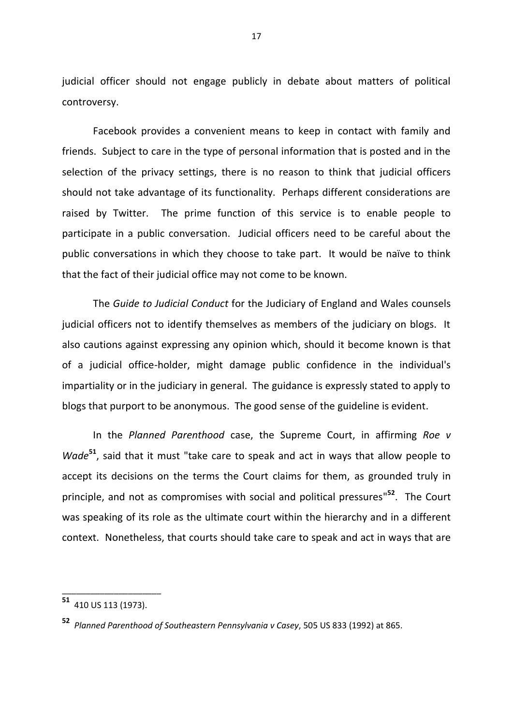judicial officer should not engage publicly in debate about matters of political controversy.

Facebook provides a convenient means to keep in contact with family and friends. Subject to care in the type of personal information that is posted and in the selection of the privacy settings, there is no reason to think that judicial officers should not take advantage of its functionality. Perhaps different considerations are raised by Twitter. The prime function of this service is to enable people to participate in a public conversation. Judicial officers need to be careful about the public conversations in which they choose to take part. It would be naïve to think that the fact of their judicial office may not come to be known.

The *Guide to Judicial Conduct* for the Judiciary of England and Wales counsels judicial officers not to identify themselves as members of the judiciary on blogs. It also cautions against expressing any opinion which, should it become known is that of a judicial office-holder, might damage public confidence in the individual's impartiality or in the judiciary in general. The guidance is expressly stated to apply to blogs that purport to be anonymous. The good sense of the guideline is evident.

In the *Planned Parenthood* case, the Supreme Court, in affirming *Roe v Wade***<sup>51</sup>** , said that it must "take care to speak and act in ways that allow people to accept its decisions on the terms the Court claims for them, as grounded truly in principle, and not as compromises with social and political pressures" **52** . The Court was speaking of its role as the ultimate court within the hierarchy and in a different context. Nonetheless, that courts should take care to speak and act in ways that are

**<sup>51</sup>** 410 US 113 (1973).

**<sup>52</sup>** *Planned Parenthood of Southeastern Pennsylvania v Casey*, 505 US 833 (1992) at 865.